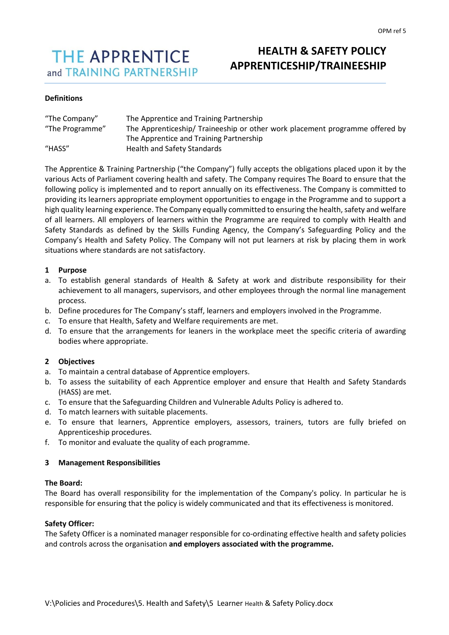# **THE APPRENTICE** and TRAINING PARTNERSHIP

# **HEALTH & SAFETY POLICY APPRENTICESHIP/TRAINEESHIP**

# **Definitions**

| "The Company"   | The Apprentice and Training Partnership                                      |
|-----------------|------------------------------------------------------------------------------|
| "The Programme" | The Apprenticeship/ Traineeship or other work placement programme offered by |
|                 | The Apprentice and Training Partnership                                      |
| "HASS"          | Health and Safety Standards                                                  |

The Apprentice & Training Partnership ("the Company") fully accepts the obligations placed upon it by the various Acts of Parliament covering health and safety. The Company requires The Board to ensure that the following policy is implemented and to report annually on its effectiveness. The Company is committed to providing its learners appropriate employment opportunities to engage in the Programme and to support a high quality learning experience. The Company equally committed to ensuring the health, safety and welfare of all learners. All employers of learners within the Programme are required to comply with Health and Safety Standards as defined by the Skills Funding Agency, the Company's Safeguarding Policy and the Company's Health and Safety Policy. The Company will not put learners at risk by placing them in work situations where standards are not satisfactory.

# **1 Purpose**

- a. To establish general standards of Health & Safety at work and distribute responsibility for their achievement to all managers, supervisors, and other employees through the normal line management process.
- b. Define procedures for The Company's staff, learners and employers involved in the Programme.
- c. To ensure that Health, Safety and Welfare requirements are met.
- d. To ensure that the arrangements for leaners in the workplace meet the specific criteria of awarding bodies where appropriate.

# **2 Objectives**

- a. To maintain a central database of Apprentice employers.
- b. To assess the suitability of each Apprentice employer and ensure that Health and Safety Standards (HASS) are met.
- c. To ensure that the Safeguarding Children and Vulnerable Adults Policy is adhered to.
- d. To match learners with suitable placements.
- e. To ensure that learners, Apprentice employers, assessors, trainers, tutors are fully briefed on Apprenticeship procedures.
- f. To monitor and evaluate the quality of each programme.

### **3 Management Responsibilities**

### **The Board:**

The Board has overall responsibility for the implementation of the Company's policy. In particular he is responsible for ensuring that the policy is widely communicated and that its effectiveness is monitored.

### **Safety Officer:**

The Safety Officer is a nominated manager responsible for co-ordinating effective health and safety policies and controls across the organisation **and employers associated with the programme.**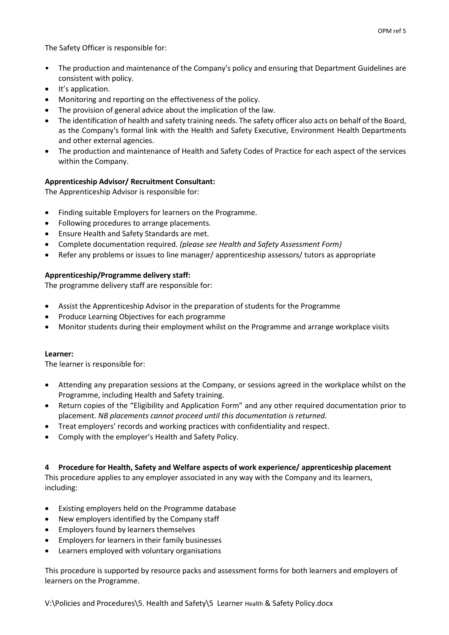- The production and maintenance of the Company's policy and ensuring that Department Guidelines are consistent with policy.
- It's application.
- Monitoring and reporting on the effectiveness of the policy.
- The provision of general advice about the implication of the law.
- The identification of health and safety training needs. The safety officer also acts on behalf of the Board, as the Company's formal link with the Health and Safety Executive, Environment Health Departments and other external agencies.
- The production and maintenance of Health and Safety Codes of Practice for each aspect of the services within the Company.

# **Apprenticeship Advisor/ Recruitment Consultant:**

The Apprenticeship Advisor is responsible for:

- Finding suitable Employers for learners on the Programme.
- Following procedures to arrange placements.
- Ensure Health and Safety Standards are met.
- Complete documentation required. *(please see Health and Safety Assessment Form)*
- Refer any problems or issues to line manager/ apprenticeship assessors/ tutors as appropriate

# **Apprenticeship/Programme delivery staff:**

The programme delivery staff are responsible for:

- Assist the Apprenticeship Advisor in the preparation of students for the Programme
- Produce Learning Objectives for each programme
- Monitor students during their employment whilst on the Programme and arrange workplace visits

# **Learner:**

The learner is responsible for:

- Attending any preparation sessions at the Company, or sessions agreed in the workplace whilst on the Programme, including Health and Safety training.
- Return copies of the "Eligibility and Application Form" and any other required documentation prior to placement. *NB placements cannot proceed until this documentation is returned.*
- Treat employers' records and working practices with confidentiality and respect.
- Comply with the employer's Health and Safety Policy.

# **4 Procedure for Health, Safety and Welfare aspects of work experience/ apprenticeship placement**

This procedure applies to any employer associated in any way with the Company and its learners, including:

- Existing employers held on the Programme database
- New employers identified by the Company staff
- Employers found by learners themselves
- Employers for learners in their family businesses
- Learners employed with voluntary organisations

This procedure is supported by resource packs and assessment forms for both learners and employers of learners on the Programme.

V:\Policies and Procedures\5. Health and Safety\5 Learner Health & Safety Policy.docx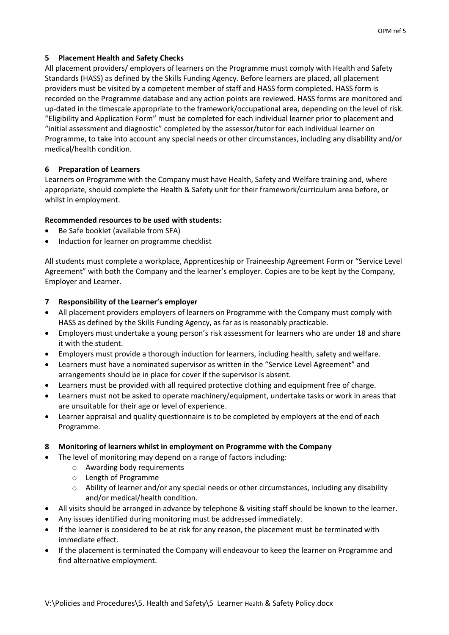# **5 Placement Health and Safety Checks**

All placement providers/ employers of learners on the Programme must comply with Health and Safety Standards (HASS) as defined by the Skills Funding Agency. Before learners are placed, all placement providers must be visited by a competent member of staff and HASS form completed. HASS form is recorded on the Programme database and any action points are reviewed. HASS forms are monitored and up-dated in the timescale appropriate to the framework/occupational area, depending on the level of risk. "Eligibility and Application Form" must be completed for each individual learner prior to placement and "initial assessment and diagnostic" completed by the assessor/tutor for each individual learner on Programme, to take into account any special needs or other circumstances, including any disability and/or medical/health condition.

# **6 Preparation of Learners**

Learners on Programme with the Company must have Health, Safety and Welfare training and, where appropriate, should complete the Health & Safety unit for their framework/curriculum area before, or whilst in employment.

# **Recommended resources to be used with students:**

- Be Safe booklet (available from SFA)
- Induction for learner on programme checklist

All students must complete a workplace, Apprenticeship or Traineeship Agreement Form or "Service Level Agreement" with both the Company and the learner's employer. Copies are to be kept by the Company, Employer and Learner.

# **7 Responsibility of the Learner's employer**

- All placement providers employers of learners on Programme with the Company must comply with HASS as defined by the Skills Funding Agency, as far as is reasonably practicable.
- Employers must undertake a young person's risk assessment for learners who are under 18 and share it with the student.
- Employers must provide a thorough induction for learners, including health, safety and welfare.
- Learners must have a nominated supervisor as written in the "Service Level Agreement" and arrangements should be in place for cover if the supervisor is absent.
- Learners must be provided with all required protective clothing and equipment free of charge.
- Learners must not be asked to operate machinery/equipment, undertake tasks or work in areas that are unsuitable for their age or level of experience.
- Learner appraisal and quality questionnaire is to be completed by employers at the end of each Programme.

### **8 Monitoring of learners whilst in employment on Programme with the Company**

- The level of monitoring may depend on a range of factors including:
	- o Awarding body requirements
	- o Length of Programme
	- $\circ$  Ability of learner and/or any special needs or other circumstances, including any disability and/or medical/health condition.
- All visits should be arranged in advance by telephone & visiting staff should be known to the learner.
- Any issues identified during monitoring must be addressed immediately.
- If the learner is considered to be at risk for any reason, the placement must be terminated with immediate effect.
- If the placement is terminated the Company will endeavour to keep the learner on Programme and find alternative employment.